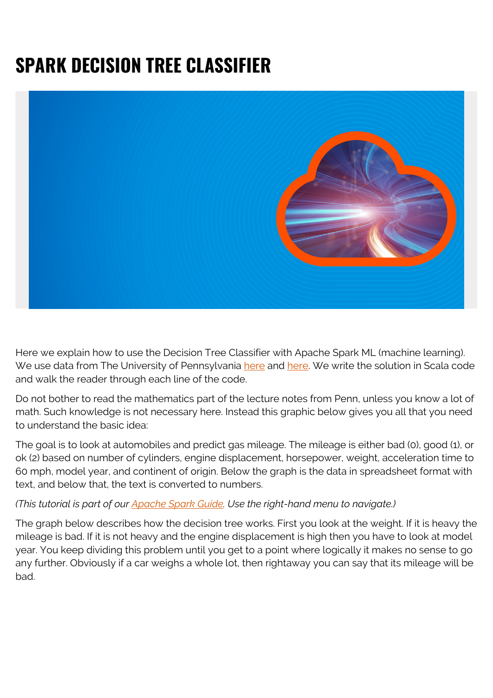## **SPARK DECISION TREE CLASSIFIER**



Here we explain how to use the Decision Tree Classifier with Apache Spark ML (machine learning). We use data from The University of Pennsylvania [here](https://alliance.seas.upenn.edu/~cis520/wiki/index.php?n=Lectures.DecisionTrees#toc2) and [here](https://alliance.seas.upenn.edu/~cis520/dynamic/2016/wiki/uploads/Lectures/data.txt). We write the solution in Scala code and walk the reader through each line of the code.

Do not bother to read the mathematics part of the lecture notes from Penn, unless you know a lot of math. Such knowledge is not necessary here. Instead this graphic below gives you all that you need to understand the basic idea:

The goal is to look at automobiles and predict gas mileage. The mileage is either bad (0), good (1), or ok (2) based on number of cylinders, engine displacement, horsepower, weight, acceleration time to 60 mph, model year, and continent of origin. Below the graph is the data in spreadsheet format with text, and below that, the text is converted to numbers.

## *(This tutorial is part of our [Apache Spark Guide.](https://blogs.bmc.com/blogs/introduction-to-sparks-machine-learning-pipeline/) Use the right-hand menu to navigate.)*

The graph below describes how the decision tree works. First you look at the weight. If it is heavy the mileage is bad. If it is not heavy and the engine displacement is high then you have to look at model year. You keep dividing this problem until you get to a point where logically it makes no sense to go any further. Obviously if a car weighs a whole lot, then rightaway you can say that its mileage will be bad.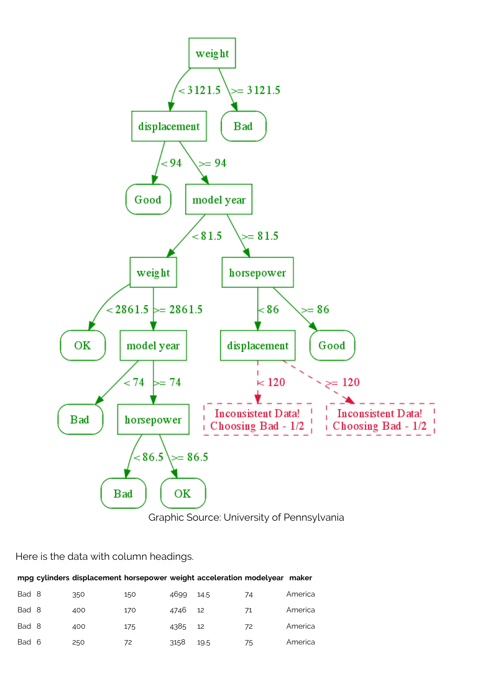



Here is the data with column headings.

|       | mpg cylinders displacement horsepower weight acceleration modelyear maker |     |      |      |    |         |
|-------|---------------------------------------------------------------------------|-----|------|------|----|---------|
| Bad 8 | 350                                                                       | 150 | 4699 | 14.5 | 74 | America |
| Bad 8 | 400                                                                       | 170 | 4746 | 12   | 71 | America |
| Bad 8 | 400                                                                       | 175 | 4385 | 12   | 72 | America |
| Bad 6 | 250                                                                       | 72  | 3158 | 19.5 | 75 | America |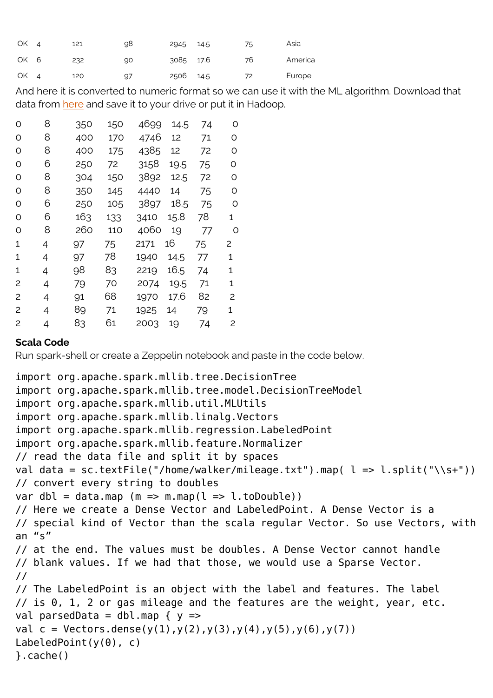| OK 4 | 121 | 98 | 2945      | 14.5 | 75 | Asia    |
|------|-----|----|-----------|------|----|---------|
| OK 6 | 232 | 90 | 3085 17.6 |      | 76 | America |
| OK 4 | 120 | 97 | 2506      | 14.5 | 72 | Europe  |

And here it is converted to numeric format so we can use it with the ML algorithm. Download that data from [here](https://alliance.seas.upenn.edu/~cis520/dynamic/2016/wiki/uploads/Lectures/data.txt) and save it to your drive or put it in Hadoop.

| O | 8 | 350 | 150 | 4699 | 14.5 | 74 | O |
|---|---|-----|-----|------|------|----|---|
| O | 8 | 400 | 170 | 4746 | 12   | 71 | O |
| O | 8 | 400 | 175 | 4385 | 12   | 72 | O |
| O | 6 | 250 | 72  | 3158 | 19.5 | 75 | O |
| O | 8 | 304 | 150 | 3892 | 12.5 | 72 | O |
| O | 8 | 350 | 145 | 4440 | 14   | 75 | O |
| O | 6 | 250 | 105 | 3897 | 18.5 | 75 | O |
| O | 6 | 163 | 133 | 3410 | 15.8 | 78 | 1 |
| O | 8 | 260 | 110 | 4060 | 19   | 77 | O |
| 1 | 4 | 97  | 75  | 2171 | 16   | 75 | 2 |
| 1 | 4 | 97  | 78  | 1940 | 14.5 | 77 | 1 |
| 1 | 4 | 98  | 83  | 2219 | 16.5 | 74 | 1 |
| 2 | 4 | 79  | 70  | 2074 | 19.5 | 71 | 1 |
| 2 | 4 | 91  | 68  | 1970 | 17.6 | 82 | 2 |
| 2 | 4 | 89  | 71  | 1925 | 14   | 79 | 1 |
| 2 | 4 | 83  | 61  | 2003 | 19   | 74 | 2 |

## **Scala Code**

Run spark-shell or create a Zeppelin notebook and paste in the code below.

```
import org.apache.spark.mllib.tree.DecisionTree
import org.apache.spark.mllib.tree.model.DecisionTreeModel
import org.apache.spark.mllib.util.MLUtils
import org.apache.spark.mllib.linalg.Vectors
import org.apache.spark.mllib.regression.LabeledPoint
import org.apache.spark.mllib.feature.Normalizer
// read the data file and split it by spaces
val data = sc.textFile("/home/walker/mileage.txt").map( l = > l.split("\\s+"))
// convert every string to doubles
var dbl = data.map (m \Rightarrow m \mod 1 \Rightarrow l \cdot tolDouble)// Here we create a Dense Vector and LabeledPoint. A Dense Vector is a
// special kind of Vector than the scala regular Vector. So use Vectors, with
an "s"// at the end. The values must be doubles. A Dense Vector cannot handle
// blank values. If we had that those, we would use a Sparse Vector.
//
// The LabeledPoint is an object with the label and features. The label
// is 0, 1, 2 or gas mileage and the features are the weight, year, etc.
val parsedData = dbl.map \{y ==val c = \text{Vectors.dense}(y(1), y(2), y(3), y(4), y(5), y(6), y(7))LabeledPoint(y(0), c)
}.cache()
```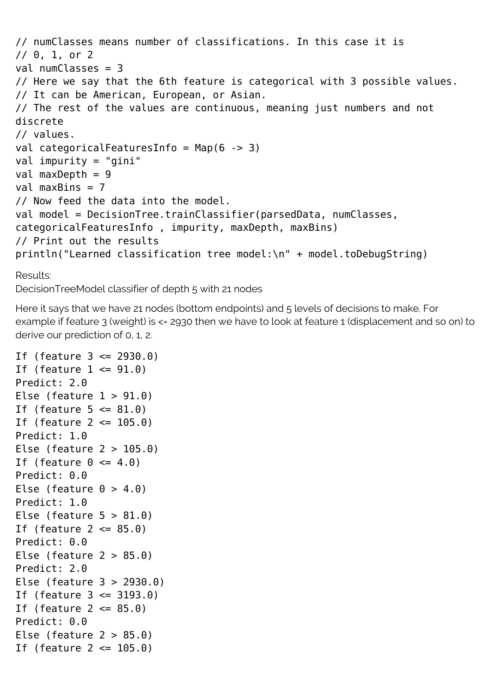```
// numClasses means number of classifications. In this case it is
// 0, 1, or 2
val numClasses = 3
// Here we say that the 6th feature is categorical with 3 possible values.
// It can be American, European, or Asian.
// The rest of the values are continuous, meaning just numbers and not
discrete
// values.
val categoricalFeaturesInfo = Map(6 -> 3)
val impurity = "gini"
val maxDepth = 9val maxBins = 7// Now feed the data into the model.
val model = DecisionTree.trainClassifier(parsedData, numClasses,
categoricalFeaturesInfo , impurity, maxDepth, maxBins)
// Print out the results
println("Learned classification tree model:\n" + model.toDebugString)
```

```
Results:
```
DecisionTreeModel classifier of depth 5 with 21 nodes

Here it says that we have 21 nodes (bottom endpoints) and 5 levels of decisions to make. For example if feature 3 (weight) is <= 2930 then we have to look at feature 1 (displacement and so on) to derive our prediction of 0, 1, 2.

```
If (feature 3 <= 2930.0)
If (feature 1 \leq 91.0)
Predict: 2.0
Else (feature 1 > 91.0)
If (feature 5 \le 81.0)
If (feature 2 \le 105.0)
Predict: 1.0
Else (feature 2 > 105.0)
If (feature 0 \le 4.0)
Predict: 0.0
Else (feature 0 > 4.0)
Predict: 1.0
Else (feature 5 > 81.0)
If (feature 2 \le 85.0)
Predict: 0.0
Else (feature 2 > 85.0)
Predict: 2.0
Else (feature 3 > 2930.0)
If (feature 3 \le 3193.0)
If (feature 2 \le 85.0)
Predict: 0.0
Else (feature 2 > 85.0)
If (feature 2 \le 105.0)
```